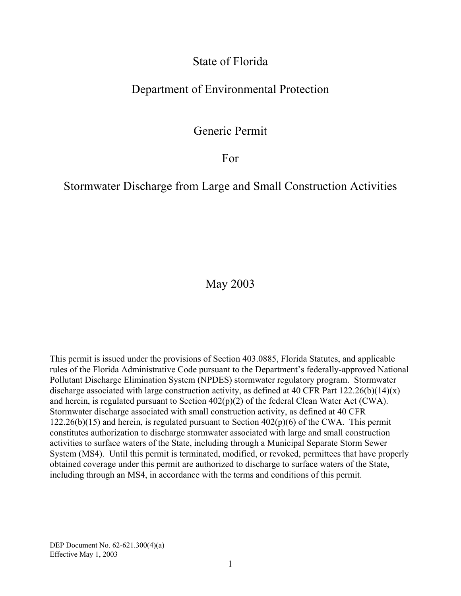# State of Florida

## Department of Environmental Protection

## Generic Permit

For

# Stormwater Discharge from Large and Small Construction Activities

# May 2003

This permit is issued under the provisions of Section 403.0885, Florida Statutes, and applicable rules of the Florida Administrative Code pursuant to the Department's federally-approved National Pollutant Discharge Elimination System (NPDES) stormwater regulatory program. Stormwater discharge associated with large construction activity, as defined at 40 CFR Part  $122.26(b)(14)(x)$ and herein, is regulated pursuant to Section 402(p)(2) of the federal Clean Water Act (CWA). Stormwater discharge associated with small construction activity, as defined at 40 CFR 122.26(b)(15) and herein, is regulated pursuant to Section 402(p)(6) of the CWA. This permit constitutes authorization to discharge stormwater associated with large and small construction activities to surface waters of the State, including through a Municipal Separate Storm Sewer System (MS4). Until this permit is terminated, modified, or revoked, permittees that have properly obtained coverage under this permit are authorized to discharge to surface waters of the State, including through an MS4, in accordance with the terms and conditions of this permit.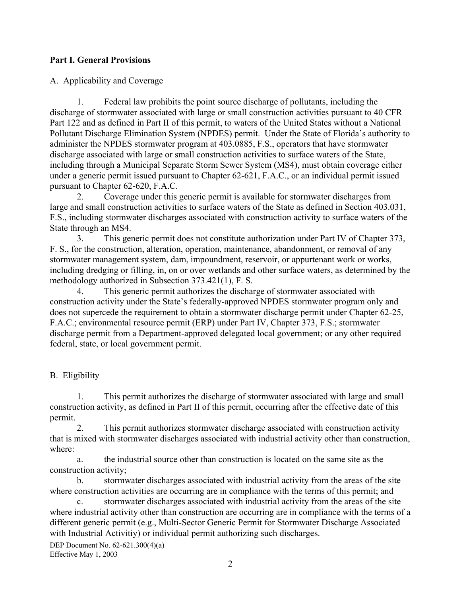#### **Part I. General Provisions**

#### A. Applicability and Coverage

1. Federal law prohibits the point source discharge of pollutants, including the discharge of stormwater associated with large or small construction activities pursuant to 40 CFR Part 122 and as defined in Part II of this permit, to waters of the United States without a National Pollutant Discharge Elimination System (NPDES) permit. Under the State of Florida's authority to administer the NPDES stormwater program at 403.0885, F.S., operators that have stormwater discharge associated with large or small construction activities to surface waters of the State, including through a Municipal Separate Storm Sewer System (MS4), must obtain coverage either under a generic permit issued pursuant to Chapter 62-621, F.A.C., or an individual permit issued pursuant to Chapter 62-620, F.A.C.

2. Coverage under this generic permit is available for stormwater discharges from large and small construction activities to surface waters of the State as defined in Section 403.031, F.S., including stormwater discharges associated with construction activity to surface waters of the State through an MS4.

3. This generic permit does not constitute authorization under Part IV of Chapter 373, F. S., for the construction, alteration, operation, maintenance, abandonment, or removal of any stormwater management system, dam, impoundment, reservoir, or appurtenant work or works, including dredging or filling, in, on or over wetlands and other surface waters, as determined by the methodology authorized in Subsection 373.421(1), F. S.

4. This generic permit authorizes the discharge of stormwater associated with construction activity under the State's federally-approved NPDES stormwater program only and does not supercede the requirement to obtain a stormwater discharge permit under Chapter 62-25, F.A.C.; environmental resource permit (ERP) under Part IV, Chapter 373, F.S.; stormwater discharge permit from a Department-approved delegated local government; or any other required federal, state, or local government permit.

#### B. Eligibility

1. This permit authorizes the discharge of stormwater associated with large and small construction activity, as defined in Part II of this permit, occurring after the effective date of this permit.

2. This permit authorizes stormwater discharge associated with construction activity that is mixed with stormwater discharges associated with industrial activity other than construction, where:

a. the industrial source other than construction is located on the same site as the construction activity;

b. stormwater discharges associated with industrial activity from the areas of the site where construction activities are occurring are in compliance with the terms of this permit; and

c. stormwater discharges associated with industrial activity from the areas of the site where industrial activity other than construction are occurring are in compliance with the terms of a different generic permit (e.g., Multi-Sector Generic Permit for Stormwater Discharge Associated with Industrial Activitiy) or individual permit authorizing such discharges.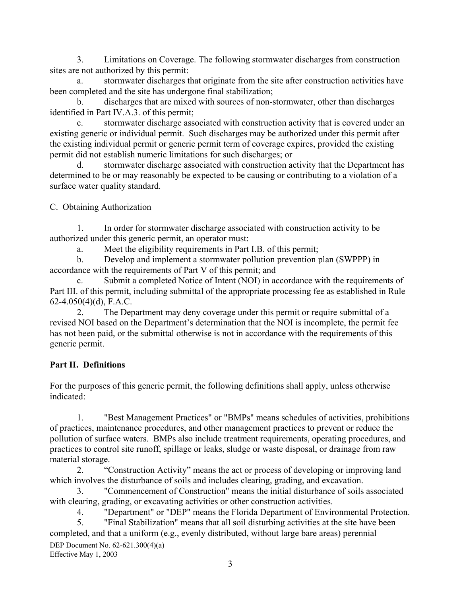3. Limitations on Coverage. The following stormwater discharges from construction sites are not authorized by this permit:

a. stormwater discharges that originate from the site after construction activities have been completed and the site has undergone final stabilization;

b. discharges that are mixed with sources of non-stormwater, other than discharges identified in Part IV.A.3. of this permit;

stormwater discharge associated with construction activity that is covered under an existing generic or individual permit. Such discharges may be authorized under this permit after the existing individual permit or generic permit term of coverage expires, provided the existing permit did not establish numeric limitations for such discharges; or

d. stormwater discharge associated with construction activity that the Department has determined to be or may reasonably be expected to be causing or contributing to a violation of a surface water quality standard.

C. Obtaining Authorization

1. In order for stormwater discharge associated with construction activity to be authorized under this generic permit, an operator must:

a. Meet the eligibility requirements in Part I.B. of this permit;

b. Develop and implement a stormwater pollution prevention plan (SWPPP) in accordance with the requirements of Part V of this permit; and

 c. Submit a completed Notice of Intent (NOI) in accordance with the requirements of Part III. of this permit, including submittal of the appropriate processing fee as established in Rule 62-4.050(4)(d), F.A.C.

2. The Department may deny coverage under this permit or require submittal of a revised NOI based on the Department's determination that the NOI is incomplete, the permit fee has not been paid, or the submittal otherwise is not in accordance with the requirements of this generic permit.

### **Part II. Definitions**

For the purposes of this generic permit, the following definitions shall apply, unless otherwise indicated:

1. "Best Management Practices" or "BMPs" means schedules of activities, prohibitions of practices, maintenance procedures, and other management practices to prevent or reduce the pollution of surface waters. BMPs also include treatment requirements, operating procedures, and practices to control site runoff, spillage or leaks, sludge or waste disposal, or drainage from raw material storage.

2. "Construction Activity" means the act or process of developing or improving land which involves the disturbance of soils and includes clearing, grading, and excavation.

3. "Commencement of Construction" means the initial disturbance of soils associated with clearing, grading, or excavating activities or other construction activities.

4. "Department" or "DEP" means the Florida Department of Environmental Protection.

5. "Final Stabilization" means that all soil disturbing activities at the site have been completed, and that a uniform (e.g., evenly distributed, without large bare areas) perennial DEP Document No. 62-621.300(4)(a) Effective May 1, 2003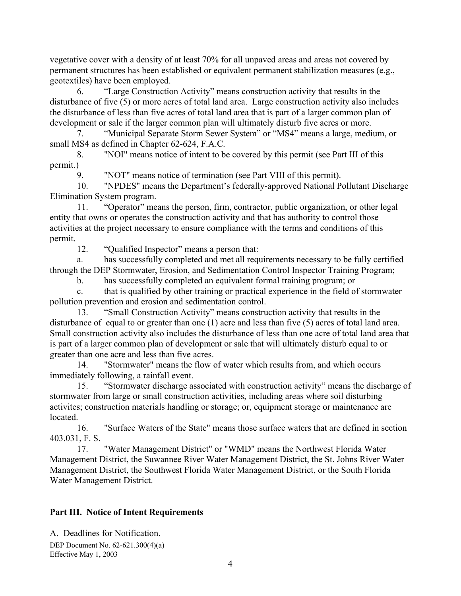vegetative cover with a density of at least 70% for all unpaved areas and areas not covered by permanent structures has been established or equivalent permanent stabilization measures (e.g., geotextiles) have been employed.

6. "Large Construction Activity" means construction activity that results in the disturbance of five (5) or more acres of total land area. Large construction activity also includes the disturbance of less than five acres of total land area that is part of a larger common plan of development or sale if the larger common plan will ultimately disturb five acres or more.

7. "Municipal Separate Storm Sewer System" or "MS4" means a large, medium, or small MS4 as defined in Chapter 62-624, F.A.C.

8. "NOI" means notice of intent to be covered by this permit (see Part III of this permit.)

9. "NOT" means notice of termination (see Part VIII of this permit).

10. "NPDES" means the Department's federally-approved National Pollutant Discharge Elimination System program.

11. "Operator" means the person, firm, contractor, public organization, or other legal entity that owns or operates the construction activity and that has authority to control those activities at the project necessary to ensure compliance with the terms and conditions of this permit.

12. "Qualified Inspector" means a person that:

a. has successfully completed and met all requirements necessary to be fully certified through the DEP Stormwater, Erosion, and Sedimentation Control Inspector Training Program;

b. has successfully completed an equivalent formal training program; or

c. that is qualified by other training or practical experience in the field of stormwater pollution prevention and erosion and sedimentation control.

13. "Small Construction Activity" means construction activity that results in the disturbance of equal to or greater than one (1) acre and less than five (5) acres of total land area. Small construction activity also includes the disturbance of less than one acre of total land area that is part of a larger common plan of development or sale that will ultimately disturb equal to or greater than one acre and less than five acres.

14. "Stormwater" means the flow of water which results from, and which occurs immediately following, a rainfall event.

15. "Stormwater discharge associated with construction activity" means the discharge of stormwater from large or small construction activities, including areas where soil disturbing activites; construction materials handling or storage; or, equipment storage or maintenance are **located** 

16. "Surface Waters of the State" means those surface waters that are defined in section 403.031, F. S.

17. "Water Management District" or "WMD" means the Northwest Florida Water Management District, the Suwannee River Water Management District, the St. Johns River Water Management District, the Southwest Florida Water Management District, or the South Florida Water Management District.

### **Part III. Notice of Intent Requirements**

A. Deadlines for Notification. DEP Document No. 62-621.300(4)(a) Effective May 1, 2003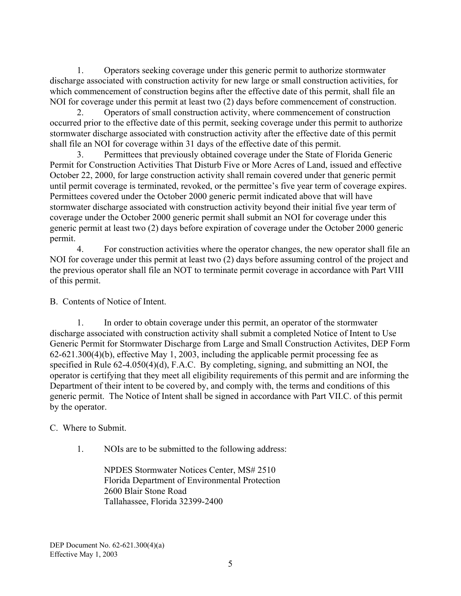1. Operators seeking coverage under this generic permit to authorize stormwater discharge associated with construction activity for new large or small construction activities, for which commencement of construction begins after the effective date of this permit, shall file an NOI for coverage under this permit at least two (2) days before commencement of construction.

2. Operators of small construction activity, where commencement of construction occurred prior to the effective date of this permit, seeking coverage under this permit to authorize stormwater discharge associated with construction activity after the effective date of this permit shall file an NOI for coverage within 31 days of the effective date of this permit.

3. Permittees that previously obtained coverage under the State of Florida Generic Permit for Construction Activities That Disturb Five or More Acres of Land, issued and effective October 22, 2000, for large construction activity shall remain covered under that generic permit until permit coverage is terminated, revoked, or the permittee's five year term of coverage expires. Permittees covered under the October 2000 generic permit indicated above that will have stormwater discharge associated with construction activity beyond their initial five year term of coverage under the October 2000 generic permit shall submit an NOI for coverage under this generic permit at least two (2) days before expiration of coverage under the October 2000 generic permit.

4. For construction activities where the operator changes, the new operator shall file an NOI for coverage under this permit at least two (2) days before assuming control of the project and the previous operator shall file an NOT to terminate permit coverage in accordance with Part VIII of this permit.

B. Contents of Notice of Intent.

1. In order to obtain coverage under this permit, an operator of the stormwater discharge associated with construction activity shall submit a completed Notice of Intent to Use Generic Permit for Stormwater Discharge from Large and Small Construction Activites, DEP Form 62-621.300(4)(b), effective May 1, 2003, including the applicable permit processing fee as specified in Rule 62-4.050(4)(d), F.A.C. By completing, signing, and submitting an NOI, the operator is certifying that they meet all eligibility requirements of this permit and are informing the Department of their intent to be covered by, and comply with, the terms and conditions of this generic permit. The Notice of Intent shall be signed in accordance with Part VII.C. of this permit by the operator.

### C. Where to Submit.

1. NOIs are to be submitted to the following address:

NPDES Stormwater Notices Center, MS# 2510 Florida Department of Environmental Protection 2600 Blair Stone Road Tallahassee, Florida 32399-2400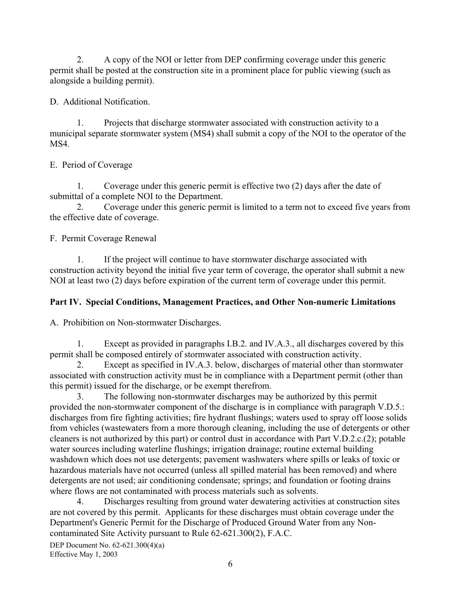2. A copy of the NOI or letter from DEP confirming coverage under this generic permit shall be posted at the construction site in a prominent place for public viewing (such as alongside a building permit).

D. Additional Notification.

1. Projects that discharge stormwater associated with construction activity to a municipal separate stormwater system (MS4) shall submit a copy of the NOI to the operator of the MS4.

E. Period of Coverage

1. Coverage under this generic permit is effective two (2) days after the date of submittal of a complete NOI to the Department.

2. Coverage under this generic permit is limited to a term not to exceed five years from the effective date of coverage.

F. Permit Coverage Renewal

1. If the project will continue to have stormwater discharge associated with construction activity beyond the initial five year term of coverage, the operator shall submit a new NOI at least two (2) days before expiration of the current term of coverage under this permit.

### **Part IV. Special Conditions, Management Practices, and Other Non-numeric Limitations**

A. Prohibition on Non-stormwater Discharges.

1. Except as provided in paragraphs I.B.2. and IV.A.3., all discharges covered by this permit shall be composed entirely of stormwater associated with construction activity.

2. Except as specified in IV.A.3. below, discharges of material other than stormwater associated with construction activity must be in compliance with a Department permit (other than this permit) issued for the discharge, or be exempt therefrom.

3. The following non-stormwater discharges may be authorized by this permit provided the non-stormwater component of the discharge is in compliance with paragraph V.D.5.: discharges from fire fighting activities; fire hydrant flushings; waters used to spray off loose solids from vehicles (wastewaters from a more thorough cleaning, including the use of detergents or other cleaners is not authorized by this part) or control dust in accordance with Part V.D.2.c.(2); potable water sources including waterline flushings; irrigation drainage; routine external building washdown which does not use detergents; pavement washwaters where spills or leaks of toxic or hazardous materials have not occurred (unless all spilled material has been removed) and where detergents are not used; air conditioning condensate; springs; and foundation or footing drains where flows are not contaminated with process materials such as solvents.

4. Discharges resulting from ground water dewatering activities at construction sites are not covered by this permit. Applicants for these discharges must obtain coverage under the Department's Generic Permit for the Discharge of Produced Ground Water from any Noncontaminated Site Activity pursuant to Rule 62-621.300(2), F.A.C.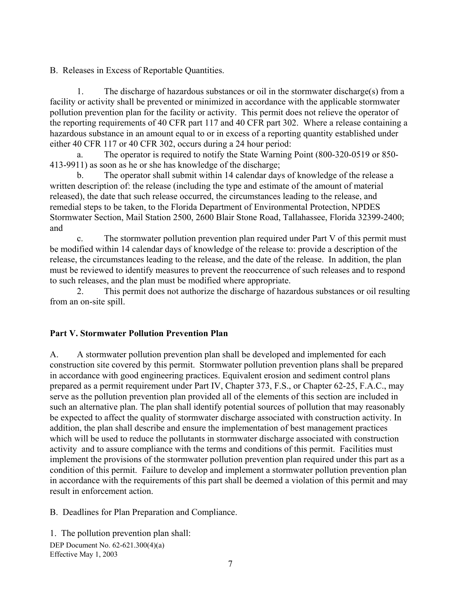B. Releases in Excess of Reportable Quantities.

1. The discharge of hazardous substances or oil in the stormwater discharge(s) from a facility or activity shall be prevented or minimized in accordance with the applicable stormwater pollution prevention plan for the facility or activity. This permit does not relieve the operator of the reporting requirements of 40 CFR part 117 and 40 CFR part 302. Where a release containing a hazardous substance in an amount equal to or in excess of a reporting quantity established under either 40 CFR 117 or 40 CFR 302, occurs during a 24 hour period:

a. The operator is required to notify the State Warning Point (800-320-0519 or 850- 413-9911) as soon as he or she has knowledge of the discharge;

b. The operator shall submit within 14 calendar days of knowledge of the release a written description of: the release (including the type and estimate of the amount of material released), the date that such release occurred, the circumstances leading to the release, and remedial steps to be taken, to the Florida Department of Environmental Protection, NPDES Stormwater Section, Mail Station 2500, 2600 Blair Stone Road, Tallahassee, Florida 32399-2400; and

c. The stormwater pollution prevention plan required under Part V of this permit must be modified within 14 calendar days of knowledge of the release to: provide a description of the release, the circumstances leading to the release, and the date of the release. In addition, the plan must be reviewed to identify measures to prevent the reoccurrence of such releases and to respond to such releases, and the plan must be modified where appropriate.

2. This permit does not authorize the discharge of hazardous substances or oil resulting from an on-site spill.

### **Part V. Stormwater Pollution Prevention Plan**

A. A stormwater pollution prevention plan shall be developed and implemented for each construction site covered by this permit. Stormwater pollution prevention plans shall be prepared in accordance with good engineering practices. Equivalent erosion and sediment control plans prepared as a permit requirement under Part IV, Chapter 373, F.S., or Chapter 62-25, F.A.C., may serve as the pollution prevention plan provided all of the elements of this section are included in such an alternative plan. The plan shall identify potential sources of pollution that may reasonably be expected to affect the quality of stormwater discharge associated with construction activity. In addition, the plan shall describe and ensure the implementation of best management practices which will be used to reduce the pollutants in stormwater discharge associated with construction activity and to assure compliance with the terms and conditions of this permit. Facilities must implement the provisions of the stormwater pollution prevention plan required under this part as a condition of this permit. Failure to develop and implement a stormwater pollution prevention plan in accordance with the requirements of this part shall be deemed a violation of this permit and may result in enforcement action.

B. Deadlines for Plan Preparation and Compliance.

1. The pollution prevention plan shall: DEP Document No. 62-621.300(4)(a)

Effective May 1, 2003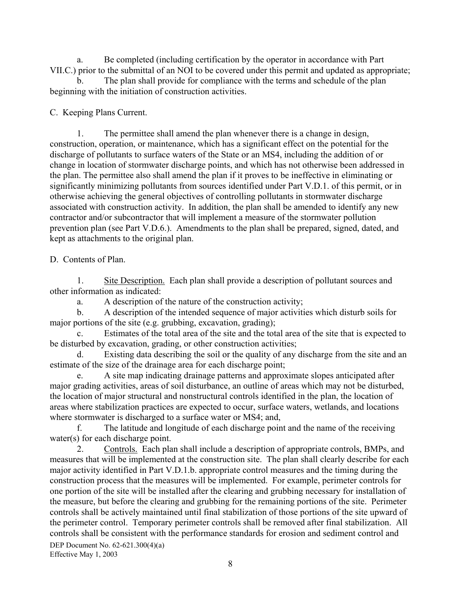a. Be completed (including certification by the operator in accordance with Part VII.C.) prior to the submittal of an NOI to be covered under this permit and updated as appropriate;

b. The plan shall provide for compliance with the terms and schedule of the plan beginning with the initiation of construction activities.

C. Keeping Plans Current.

1. The permittee shall amend the plan whenever there is a change in design, construction, operation, or maintenance, which has a significant effect on the potential for the discharge of pollutants to surface waters of the State or an MS4, including the addition of or change in location of stormwater discharge points, and which has not otherwise been addressed in the plan. The permittee also shall amend the plan if it proves to be ineffective in eliminating or significantly minimizing pollutants from sources identified under Part V.D.1. of this permit, or in otherwise achieving the general objectives of controlling pollutants in stormwater discharge associated with construction activity. In addition, the plan shall be amended to identify any new contractor and/or subcontractor that will implement a measure of the stormwater pollution prevention plan (see Part V.D.6.). Amendments to the plan shall be prepared, signed, dated, and kept as attachments to the original plan.

D. Contents of Plan.

1. Site Description. Each plan shall provide a description of pollutant sources and other information as indicated:

a. A description of the nature of the construction activity;

b. A description of the intended sequence of major activities which disturb soils for major portions of the site (e.g. grubbing, excavation, grading);

c. Estimates of the total area of the site and the total area of the site that is expected to be disturbed by excavation, grading, or other construction activities;

d. Existing data describing the soil or the quality of any discharge from the site and an estimate of the size of the drainage area for each discharge point;

A site map indicating drainage patterns and approximate slopes anticipated after major grading activities, areas of soil disturbance, an outline of areas which may not be disturbed, the location of major structural and nonstructural controls identified in the plan, the location of areas where stabilization practices are expected to occur, surface waters, wetlands, and locations where stormwater is discharged to a surface water or MS4; and,

f. The latitude and longitude of each discharge point and the name of the receiving water(s) for each discharge point.

2. Controls. Each plan shall include a description of appropriate controls, BMPs, and measures that will be implemented at the construction site. The plan shall clearly describe for each major activity identified in Part V.D.1.b. appropriate control measures and the timing during the construction process that the measures will be implemented. For example, perimeter controls for one portion of the site will be installed after the clearing and grubbing necessary for installation of the measure, but before the clearing and grubbing for the remaining portions of the site. Perimeter controls shall be actively maintained until final stabilization of those portions of the site upward of the perimeter control. Temporary perimeter controls shall be removed after final stabilization. All controls shall be consistent with the performance standards for erosion and sediment control and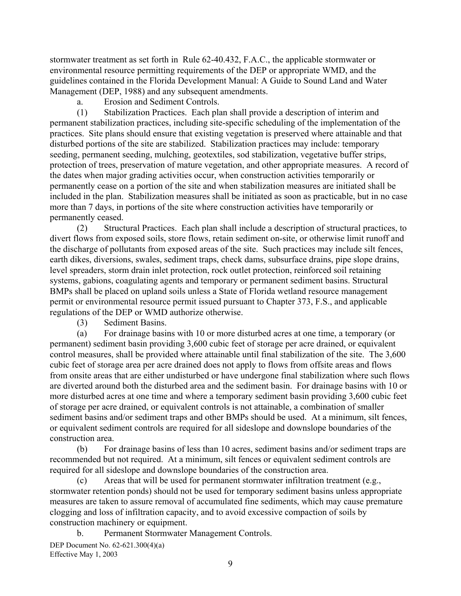stormwater treatment as set forth in Rule 62-40.432, F.A.C., the applicable stormwater or environmental resource permitting requirements of the DEP or appropriate WMD, and the guidelines contained in the Florida Development Manual: A Guide to Sound Land and Water Management (DEP, 1988) and any subsequent amendments.

a. Erosion and Sediment Controls.

(1) Stabilization Practices. Each plan shall provide a description of interim and permanent stabilization practices, including site-specific scheduling of the implementation of the practices. Site plans should ensure that existing vegetation is preserved where attainable and that disturbed portions of the site are stabilized. Stabilization practices may include: temporary seeding, permanent seeding, mulching, geotextiles, sod stabilization, vegetative buffer strips, protection of trees, preservation of mature vegetation, and other appropriate measures. A record of the dates when major grading activities occur, when construction activities temporarily or permanently cease on a portion of the site and when stabilization measures are initiated shall be included in the plan. Stabilization measures shall be initiated as soon as practicable, but in no case more than 7 days, in portions of the site where construction activities have temporarily or permanently ceased.

(2) Structural Practices. Each plan shall include a description of structural practices, to divert flows from exposed soils, store flows, retain sediment on-site, or otherwise limit runoff and the discharge of pollutants from exposed areas of the site. Such practices may include silt fences, earth dikes, diversions, swales, sediment traps, check dams, subsurface drains, pipe slope drains, level spreaders, storm drain inlet protection, rock outlet protection, reinforced soil retaining systems, gabions, coagulating agents and temporary or permanent sediment basins. Structural BMPs shall be placed on upland soils unless a State of Florida wetland resource management permit or environmental resource permit issued pursuant to Chapter 373, F.S., and applicable regulations of the DEP or WMD authorize otherwise.

(3) Sediment Basins.

(a) For drainage basins with 10 or more disturbed acres at one time, a temporary (or permanent) sediment basin providing 3,600 cubic feet of storage per acre drained, or equivalent control measures, shall be provided where attainable until final stabilization of the site. The 3,600 cubic feet of storage area per acre drained does not apply to flows from offsite areas and flows from onsite areas that are either undisturbed or have undergone final stabilization where such flows are diverted around both the disturbed area and the sediment basin. For drainage basins with 10 or more disturbed acres at one time and where a temporary sediment basin providing 3,600 cubic feet of storage per acre drained, or equivalent controls is not attainable, a combination of smaller sediment basins and/or sediment traps and other BMPs should be used. At a minimum, silt fences, or equivalent sediment controls are required for all sideslope and downslope boundaries of the construction area.

(b) For drainage basins of less than 10 acres, sediment basins and/or sediment traps are recommended but not required. At a minimum, silt fences or equivalent sediment controls are required for all sideslope and downslope boundaries of the construction area.

(c) Areas that will be used for permanent stormwater infiltration treatment (e.g., stormwater retention ponds) should not be used for temporary sediment basins unless appropriate measures are taken to assure removal of accumulated fine sediments, which may cause premature clogging and loss of infiltration capacity, and to avoid excessive compaction of soils by construction machinery or equipment.

b. Permanent Stormwater Management Controls. DEP Document No. 62-621.300(4)(a) Effective May 1, 2003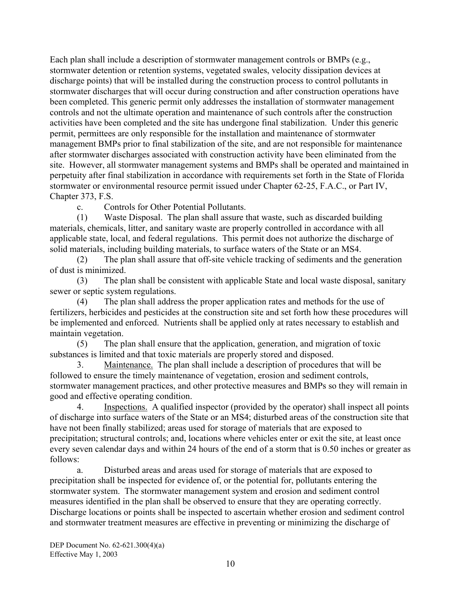Each plan shall include a description of stormwater management controls or BMPs (e.g., stormwater detention or retention systems, vegetated swales, velocity dissipation devices at discharge points) that will be installed during the construction process to control pollutants in stormwater discharges that will occur during construction and after construction operations have been completed. This generic permit only addresses the installation of stormwater management controls and not the ultimate operation and maintenance of such controls after the construction activities have been completed and the site has undergone final stabilization. Under this generic permit, permittees are only responsible for the installation and maintenance of stormwater management BMPs prior to final stabilization of the site, and are not responsible for maintenance after stormwater discharges associated with construction activity have been eliminated from the site. However, all stormwater management systems and BMPs shall be operated and maintained in perpetuity after final stabilization in accordance with requirements set forth in the State of Florida stormwater or environmental resource permit issued under Chapter 62-25, F.A.C., or Part IV, Chapter 373, F.S.

c. Controls for Other Potential Pollutants.

(1) Waste Disposal. The plan shall assure that waste, such as discarded building materials, chemicals, litter, and sanitary waste are properly controlled in accordance with all applicable state, local, and federal regulations. This permit does not authorize the discharge of solid materials, including building materials, to surface waters of the State or an MS4.

(2) The plan shall assure that off-site vehicle tracking of sediments and the generation of dust is minimized.

(3) The plan shall be consistent with applicable State and local waste disposal, sanitary sewer or septic system regulations.

(4) The plan shall address the proper application rates and methods for the use of fertilizers, herbicides and pesticides at the construction site and set forth how these procedures will be implemented and enforced. Nutrients shall be applied only at rates necessary to establish and maintain vegetation.

(5) The plan shall ensure that the application, generation, and migration of toxic substances is limited and that toxic materials are properly stored and disposed.

3. Maintenance. The plan shall include a description of procedures that will be followed to ensure the timely maintenance of vegetation, erosion and sediment controls, stormwater management practices, and other protective measures and BMPs so they will remain in good and effective operating condition.

4. Inspections. A qualified inspector (provided by the operator) shall inspect all points of discharge into surface waters of the State or an MS4; disturbed areas of the construction site that have not been finally stabilized; areas used for storage of materials that are exposed to precipitation; structural controls; and, locations where vehicles enter or exit the site, at least once every seven calendar days and within 24 hours of the end of a storm that is 0.50 inches or greater as follows:

a. Disturbed areas and areas used for storage of materials that are exposed to precipitation shall be inspected for evidence of, or the potential for, pollutants entering the stormwater system. The stormwater management system and erosion and sediment control measures identified in the plan shall be observed to ensure that they are operating correctly. Discharge locations or points shall be inspected to ascertain whether erosion and sediment control and stormwater treatment measures are effective in preventing or minimizing the discharge of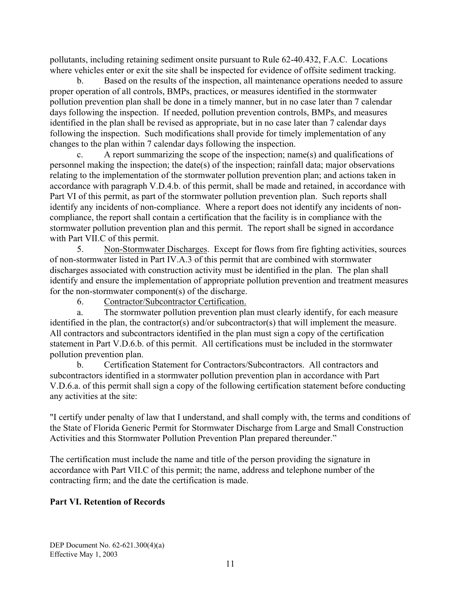pollutants, including retaining sediment onsite pursuant to Rule 62-40.432, F.A.C. Locations where vehicles enter or exit the site shall be inspected for evidence of offsite sediment tracking.

b. Based on the results of the inspection, all maintenance operations needed to assure proper operation of all controls, BMPs, practices, or measures identified in the stormwater pollution prevention plan shall be done in a timely manner, but in no case later than 7 calendar days following the inspection. If needed, pollution prevention controls, BMPs, and measures identified in the plan shall be revised as appropriate, but in no case later than 7 calendar days following the inspection. Such modifications shall provide for timely implementation of any changes to the plan within 7 calendar days following the inspection.

A report summarizing the scope of the inspection; name(s) and qualifications of personnel making the inspection; the date(s) of the inspection; rainfall data; major observations relating to the implementation of the stormwater pollution prevention plan; and actions taken in accordance with paragraph V.D.4.b. of this permit, shall be made and retained, in accordance with Part VI of this permit, as part of the stormwater pollution prevention plan. Such reports shall identify any incidents of non-compliance. Where a report does not identify any incidents of noncompliance, the report shall contain a certification that the facility is in compliance with the stormwater pollution prevention plan and this permit. The report shall be signed in accordance with Part VII.C of this permit.

5. Non-Stormwater Discharges. Except for flows from fire fighting activities, sources of non-stormwater listed in Part IV.A.3 of this permit that are combined with stormwater discharges associated with construction activity must be identified in the plan. The plan shall identify and ensure the implementation of appropriate pollution prevention and treatment measures for the non-stormwater component(s) of the discharge.

6. Contractor/Subcontractor Certification.

a. The stormwater pollution prevention plan must clearly identify, for each measure identified in the plan, the contractor(s) and/or subcontractor(s) that will implement the measure. All contractors and subcontractors identified in the plan must sign a copy of the certification statement in Part V.D.6.b. of this permit. All certifications must be included in the stormwater pollution prevention plan.

b. Certification Statement for Contractors/Subcontractors. All contractors and subcontractors identified in a stormwater pollution prevention plan in accordance with Part V.D.6.a. of this permit shall sign a copy of the following certification statement before conducting any activities at the site:

"I certify under penalty of law that I understand, and shall comply with, the terms and conditions of the State of Florida Generic Permit for Stormwater Discharge from Large and Small Construction Activities and this Stormwater Pollution Prevention Plan prepared thereunder."

The certification must include the name and title of the person providing the signature in accordance with Part VII.C of this permit; the name, address and telephone number of the contracting firm; and the date the certification is made.

#### **Part VI. Retention of Records**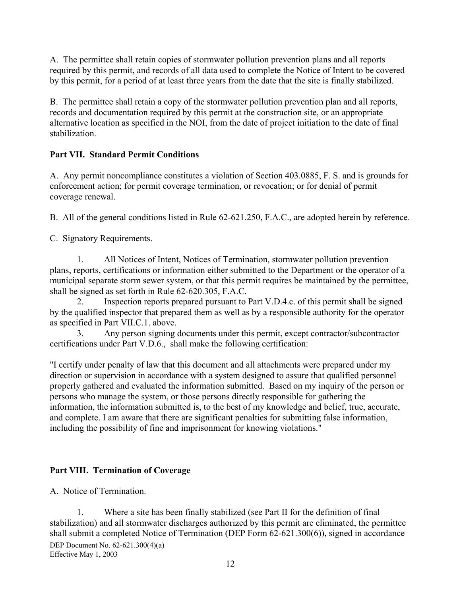A. The permittee shall retain copies of stormwater pollution prevention plans and all reports required by this permit, and records of all data used to complete the Notice of Intent to be covered by this permit, for a period of at least three years from the date that the site is finally stabilized.

B. The permittee shall retain a copy of the stormwater pollution prevention plan and all reports, records and documentation required by this permit at the construction site, or an appropriate alternative location as specified in the NOI, from the date of project initiation to the date of final stabilization.

## **Part VII. Standard Permit Conditions**

A. Any permit noncompliance constitutes a violation of Section 403.0885, F. S. and is grounds for enforcement action; for permit coverage termination, or revocation; or for denial of permit coverage renewal.

B. All of the general conditions listed in Rule 62-621.250, F.A.C., are adopted herein by reference.

C. Signatory Requirements.

1. All Notices of Intent, Notices of Termination, stormwater pollution prevention plans, reports, certifications or information either submitted to the Department or the operator of a municipal separate storm sewer system, or that this permit requires be maintained by the permittee, shall be signed as set forth in Rule 62-620.305, F.A.C.

2. Inspection reports prepared pursuant to Part V.D.4.c. of this permit shall be signed by the qualified inspector that prepared them as well as by a responsible authority for the operator as specified in Part VII.C.1. above.

3. Any person signing documents under this permit, except contractor/subcontractor certifications under Part V.D.6., shall make the following certification:

"I certify under penalty of law that this document and all attachments were prepared under my direction or supervision in accordance with a system designed to assure that qualified personnel properly gathered and evaluated the information submitted. Based on my inquiry of the person or persons who manage the system, or those persons directly responsible for gathering the information, the information submitted is, to the best of my knowledge and belief, true, accurate, and complete. I am aware that there are significant penalties for submitting false information, including the possibility of fine and imprisonment for knowing violations."

## **Part VIII. Termination of Coverage**

A. Notice of Termination.

1. Where a site has been finally stabilized (see Part II for the definition of final stabilization) and all stormwater discharges authorized by this permit are eliminated, the permittee shall submit a completed Notice of Termination (DEP Form 62-621.300(6)), signed in accordance